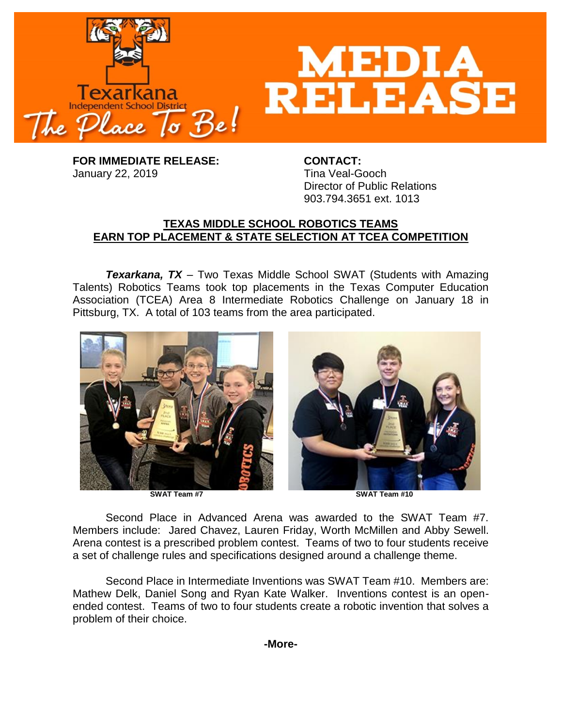

**FOR IMMEDIATE RELEASE: CONTACT:** January 22, 2019 **Tina Veal-Gooch** 

Director of Public Relations 903.794.3651 ext. 1013

## **TEXAS MIDDLE SCHOOL ROBOTICS TEAMS EARN TOP PLACEMENT & STATE SELECTION AT TCEA COMPETITION**

*Texarkana, TX* – Two Texas Middle School SWAT (Students with Amazing Talents) Robotics Teams took top placements in the Texas Computer Education Association (TCEA) Area 8 Intermediate Robotics Challenge on January 18 in Pittsburg, TX. A total of 103 teams from the area participated.



Second Place in Advanced Arena was awarded to the SWAT Team #7. Members include: Jared Chavez, Lauren Friday, Worth McMillen and Abby Sewell. Arena contest is a prescribed problem contest. Teams of two to four students receive a set of challenge rules and specifications designed around a challenge theme.

Second Place in Intermediate Inventions was SWAT Team #10. Members are: Mathew Delk, Daniel Song and Ryan Kate Walker. Inventions contest is an openended contest. Teams of two to four students create a robotic invention that solves a problem of their choice.

**-More-**